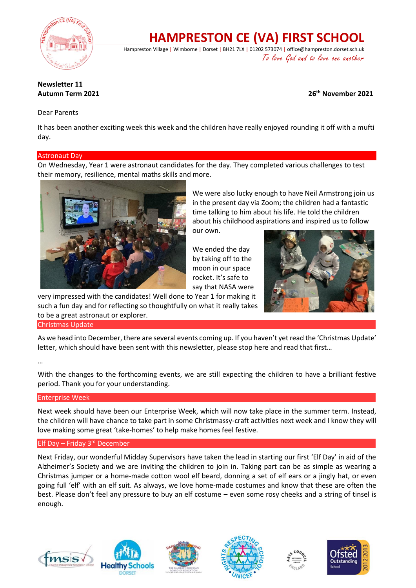

# **HAMPRESTON CE (VA) FIRST SCHOOL**

Hampreston Village | Wimborne | Dorset | BH21 7LX | 01202 573074 | office@hampreston.dorset.sch.uk To love God and to love one another

# **Newsletter 11**

**Autumn Term 2021 26th November 2021**

# Dear Parents

It has been another exciting week this week and the children have really enjoyed rounding it off with a mufti day.

# Astronaut Day

On Wednesday, Year 1 were astronaut candidates for the day. They completed various challenges to test their memory, resilience, mental maths skills and more.



We were also lucky enough to have Neil Armstrong join us in the present day via Zoom; the children had a fantastic time talking to him about his life. He told the children about his childhood aspirations and inspired us to follow

our own.

We ended the day by taking off to the moon in our space rocket. It's safe to say that NASA were



very impressed with the candidates! Well done to Year 1 for making it such a fun day and for reflecting so thoughtfully on what it really takes to be a great astronaut or explorer.

Christmas Update

As we head into December, there are several events coming up. If you haven't yet read the 'Christmas Update' letter, which should have been sent with this newsletter, please stop here and read that first…

#### …

With the changes to the forthcoming events, we are still expecting the children to have a brilliant festive period. Thank you for your understanding.

# Enterprise Week

Next week should have been our Enterprise Week, which will now take place in the summer term. Instead, the children will have chance to take part in some Christmassy-craft activities next week and I know they will love making some great 'take-homes' to help make homes feel festive.

# Elf Day – Friday 3rd December

Next Friday, our wonderful Midday Supervisors have taken the lead in starting our first 'Elf Day' in aid of the Alzheimer's Society and we are inviting the children to join in. Taking part can be as simple as wearing a Christmas jumper or a home-made cotton wool elf beard, donning a set of elf ears or a jingly hat, or even going full 'elf' with an elf suit. As always, we love home-made costumes and know that these are often the best. Please don't feel any pressure to buy an elf costume – even some rosy cheeks and a string of tinsel is enough.









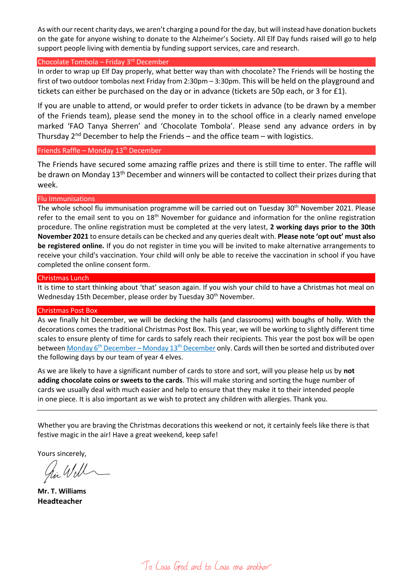As with our recent charity days, we aren't charging a pound for the day, but will instead have donation buckets on the gate for anyone wishing to donate to the Alzheimer's Society. All Elf Day funds raised will go to help support people living with dementia by funding support services, care and research.

#### Chocolate Tombola – Friday  $3<sup>rd</sup>$  December

In order to wrap up Elf Day properly, what better way than with chocolate? The Friends will be hosting the first of two outdoor tombolas next Friday from 2:30pm – 3:30pm. This will be held on the playground and tickets can either be purchased on the day or in advance (tickets are 50p each, or 3 for £1).

If you are unable to attend, or would prefer to order tickets in advance (to be drawn by a member of the Friends team), please send the money in to the school office in a clearly named envelope marked 'FAO Tanya Sherren' and 'Chocolate Tombola'. Please send any advance orders in by Thursday  $2^{nd}$  December to help the Friends – and the office team – with logistics.

#### Friends Raffle – Monday 13<sup>th</sup> December

The Friends have secured some amazing raffle prizes and there is still time to enter. The raffle will be drawn on Monday 13<sup>th</sup> December and winners will be contacted to collect their prizes during that week.

#### Flu Immunisations

The whole school flu immunisation programme will be carried out on Tuesday 30<sup>th</sup> November 2021. Please refer to the email sent to you on 18<sup>th</sup> November for guidance and information for the online registration procedure. The online registration must be completed at the very latest, **2 working days prior to the 30th November 2021** to ensure details can be checked and any queries dealt with. **Please note 'opt out' must also be registered online.** If you do not register in time you will be invited to make alternative arrangements to receive your child's vaccination. Your child will only be able to receive the vaccination in school if you have completed the online consent form.

#### Christmas Lunch

It is time to start thinking about 'that' season again. If you wish your child to have a Christmas hot meal on Wednesday 15th December, please order by Tuesday 30<sup>th</sup> November.

#### Christmas Post Box

As we finally hit December, we will be decking the halls (and classrooms) with boughs of holly. With the decorations comes the traditional Christmas Post Box. This year, we will be working to slightly different time scales to ensure plenty of time for cards to safely reach their recipients. This year the post box will be open between Monday 6<sup>th</sup> December – Monday 13<sup>th</sup> December only. Cards will then be sorted and distributed over the following days by our team of year 4 elves.

As we are likely to have a significant number of cards to store and sort, will you please help us by **not adding chocolate coins or sweets to the cards**. This will make storing and sorting the huge number of cards we usually deal with much easier and help to ensure that they make it to their intended people in one piece. It is also important as we wish to protect any children with allergies. Thank you.

Whether you are braving the Christmas decorations this weekend or not, it certainly feels like there is that festive magic in the air! Have a great weekend, keep safe!

Yours sincerely,

**Mr. T. Williams Headteacher**

To Love God and to Love one another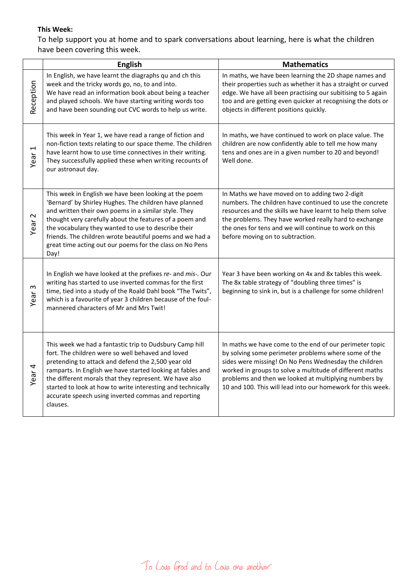# **This Week:**

To help support you at home and to spark conversations about learning, here is what the children have been covering this week.

|                                  | English                                                                                                                                                                                                                                                                                                                                                                                                                      | <b>Mathematics</b>                                                                                                                                                                                                                                                                                                                                           |
|----------------------------------|------------------------------------------------------------------------------------------------------------------------------------------------------------------------------------------------------------------------------------------------------------------------------------------------------------------------------------------------------------------------------------------------------------------------------|--------------------------------------------------------------------------------------------------------------------------------------------------------------------------------------------------------------------------------------------------------------------------------------------------------------------------------------------------------------|
| Reception                        | In English, we have learnt the diagraphs qu and ch this<br>week and the tricky words go, no, to and into.<br>We have read an information book about being a teacher<br>and played schools. We have starting writing words too<br>and have been sounding out CVC words to help us write.                                                                                                                                      | In maths, we have been learning the 2D shape names and<br>their properties such as whether it has a straight or curved<br>edge. We have all been practising our subitising to 5 again<br>too and are getting even quicker at recognising the dots or<br>objects in different positions quickly.                                                              |
| $\overline{\phantom{0}}$<br>Year | This week in Year 1, we have read a range of fiction and<br>non-fiction texts relating to our space theme. The children<br>have learnt how to use time connectives in their writing.<br>They successfully applied these when writing recounts of<br>our astronaut day.                                                                                                                                                       | In maths, we have continued to work on place value. The<br>children are now confidently able to tell me how many<br>tens and ones are in a given number to 20 and beyond!<br>Well done.                                                                                                                                                                      |
| $\sim$<br>Year                   | This week in English we have been looking at the poem<br>'Bernard' by Shirley Hughes. The children have planned<br>and written their own poems in a similar style. They<br>thought very carefully about the features of a poem and<br>the vocabulary they wanted to use to describe their<br>friends. The children wrote beautiful poems and we had a<br>great time acting out our poems for the class on No Pens<br>Day!    | In Maths we have moved on to adding two 2-digit<br>numbers. The children have continued to use the concrete<br>resources and the skills we have learnt to help them solve<br>the problems. They have worked really hard to exchange<br>the ones for tens and we will continue to work on this<br>before moving on to subtraction.                            |
| S<br>Year                        | In English we have looked at the prefixes re- and mis-. Our<br>writing has started to use inverted commas for the first<br>time, tied into a study of the Roald Dahl book "The Twits",<br>which is a favourite of year 3 children because of the foul-<br>mannered characters of Mr and Mrs Twit!                                                                                                                            | Year 3 have been working on 4x and 8x tables this week.<br>The 8x table strategy of "doubling three times" is<br>beginning to sink in, but is a challenge for some children!                                                                                                                                                                                 |
| Year <sub>4</sub>                | This week we had a fantastic trip to Dudsbury Camp hill<br>fort. The children were so well behaved and loved<br>pretending to attack and defend the 2,500 year old<br>ramparts. In English we have started looking at fables and<br>the different morals that they represent. We have also<br>started to look at how to write interesting and technically<br>accurate speech using inverted commas and reporting<br>clauses. | In maths we have come to the end of our perimeter topic<br>by solving some perimeter problems where some of the<br>sides were missing! On No Pens Wednesday the children<br>worked in groups to solve a multitude of different maths<br>problems and then we looked at multiplying numbers by<br>10 and 100. This will lead into our homework for this week. |